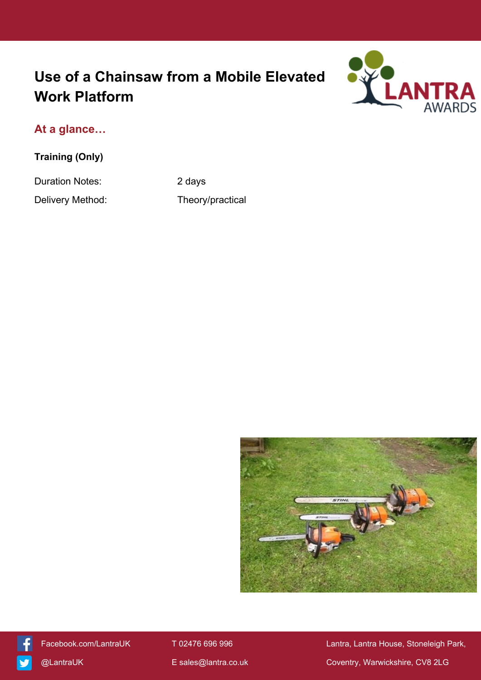# **Use of a Chainsaw from a Mobile Elevated Work Platform**



## **At a glance…**

**Training (Only)**

Duration Notes: 2 days

Delivery Method: Theory/practical





[Facebook.com/LantraUK](https://www.facebook.com/LantraUK/) T 02476 696 996 Lantra, Lantra, Lantra House, Stoneleigh Park, [@LantraUK](http://www.twitter.com/lantrauk) E [sales@lantra.co.uk](mailto:sales@lantra.co.uk) Coventry, Warwickshire, CV8 2LG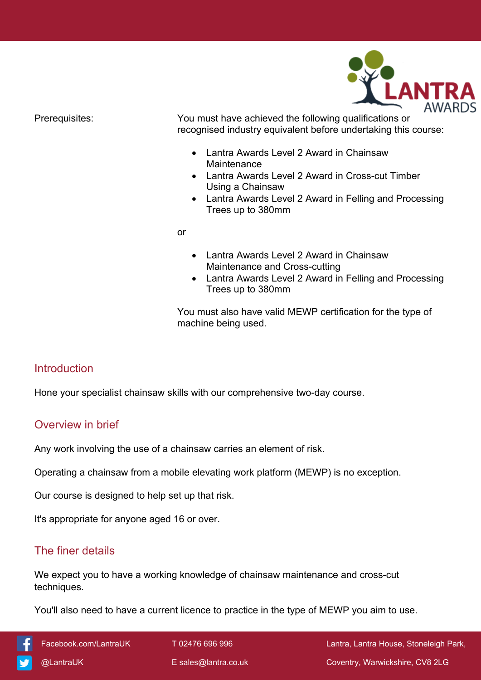

Prerequisites: You must have achieved the following qualifications or recognised industry equivalent before undertaking this course:

- Lantra Awards Level 2 Award in Chainsaw **Maintenance**
- Lantra Awards Level 2 Award in Cross-cut Timber Using a Chainsaw
- Lantra Awards Level 2 Award in Felling and Processing Trees up to 380mm

or

- Lantra Awards Level 2 Award in Chainsaw Maintenance and Cross-cutting
- Lantra Awards Level 2 Award in Felling and Processing Trees up to 380mm

You must also have valid MEWP certification for the type of machine being used.

### **Introduction**

Hone your specialist chainsaw skills with our comprehensive two-day course.

### Overview in brief

Any work involving the use of a chainsaw carries an element of risk.

Operating a chainsaw from a mobile elevating work platform (MEWP) is no exception.

Our course is designed to help set up that risk.

It's appropriate for anyone aged 16 or over.

### The finer details

We expect you to have a working knowledge of chainsaw maintenance and cross-cut techniques.

You'll also need to have a current licence to practice in the type of MEWP you aim to use.

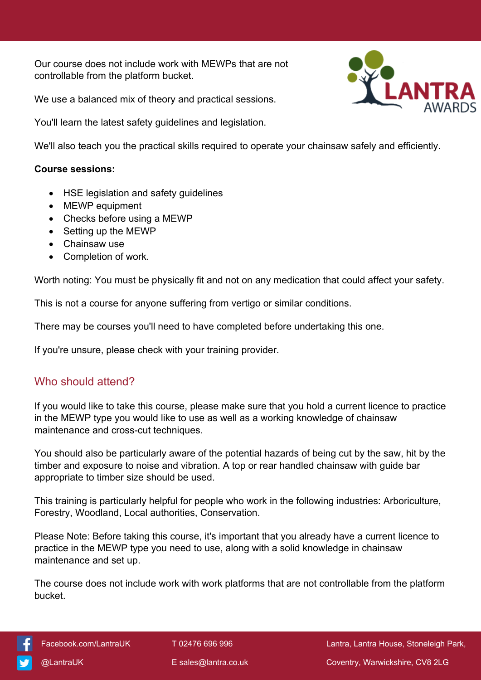Our course does not include work with MEWPs that are not controllable from the platform bucket.

We use a balanced mix of theory and practical sessions.

You'll learn the latest safety guidelines and legislation.



We'll also teach you the practical skills required to operate your chainsaw safely and efficiently.

#### **Course sessions:**

- HSE legislation and safety guidelines
- MEWP equipment
- Checks before using a MEWP
- Setting up the MEWP
- Chainsaw use
- Completion of work.

Worth noting: You must be physically fit and not on any medication that could affect your safety.

This is not a course for anyone suffering from vertigo or similar conditions.

There may be courses you'll need to have completed before undertaking this one.

If you're unsure, please check with your training provider.

### Who should attend?

If you would like to take this course, please make sure that you hold a current licence to practice in the MEWP type you would like to use as well as a working knowledge of chainsaw maintenance and cross-cut techniques.

You should also be particularly aware of the potential hazards of being cut by the saw, hit by the timber and exposure to noise and vibration. A top or rear handled chainsaw with guide bar appropriate to timber size should be used.

This training is particularly helpful for people who work in the following industries: Arboriculture, Forestry, Woodland, Local authorities, Conservation.

Please Note: Before taking this course, it's important that you already have a current licence to practice in the MEWP type you need to use, along with a solid knowledge in chainsaw maintenance and set up.

The course does not include work with work platforms that are not controllable from the platform bucket.



[Facebook.com/LantraUK](https://www.facebook.com/LantraUK/) T 02476 696 996 Lantra, Lantra, Lantra House, Stoneleigh Park, [@LantraUK](http://www.twitter.com/lantrauk) E [sales@lantra.co.uk](mailto:sales@lantra.co.uk) Coventry, Warwickshire, CV8 2LG